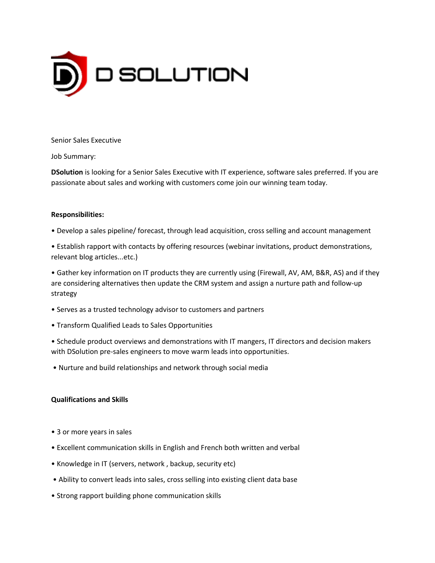

#### Senior Sales Executive

Job Summary:

**DSolution** is looking for a Senior Sales Executive with IT experience, software sales preferred. If you are passionate about sales and working with customers come join our winning team today.

### **Responsibilities:**

- Develop a sales pipeline/ forecast, through lead acquisition, cross selling and account management
- Establish rapport with contacts by offering resources (webinar invitations, product demonstrations, relevant blog articles...etc.)

• Gather key information on IT products they are currently using (Firewall, AV, AM, B&R, AS) and if they are considering alternatives then update the CRM system and assign a nurture path and follow-up strategy

- Serves as a trusted technology advisor to customers and partners
- Transform Qualified Leads to Sales Opportunities

• Schedule product overviews and demonstrations with IT mangers, IT directors and decision makers with DSolution pre-sales engineers to move warm leads into opportunities.

• Nurture and build relationships and network through social media

# **Qualifications and Skills**

- 3 or more years in sales
- Excellent communication skills in English and French both written and verbal
- Knowledge in IT (servers, network , backup, security etc)
- Ability to convert leads into sales, cross selling into existing client data base
- Strong rapport building phone communication skills